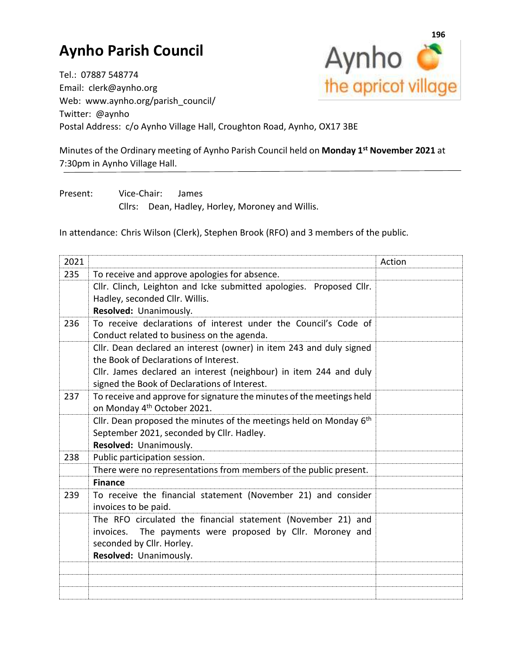## **Aynho Parish Council**

**196** Aynho<sup>c</sup> the apricot village

Tel.: 07887 548774 Email: clerk@aynho.org Web: www.aynho.org/parish\_council/ Twitter: @aynho Postal Address: c/o Aynho Village Hall, Croughton Road, Aynho, OX17 3BE

Minutes of the Ordinary meeting of Aynho Parish Council held on **Monday 1 st November 2021** at 7:30pm in Aynho Village Hall.

Present: Vice-Chair: James Cllrs: Dean, Hadley, Horley, Moroney and Willis.

In attendance: Chris Wilson (Clerk), Stephen Brook (RFO) and 3 members of the public.

| 2021 |                                                                                                                                                                                                                                   | Action |
|------|-----------------------------------------------------------------------------------------------------------------------------------------------------------------------------------------------------------------------------------|--------|
| 235  | To receive and approve apologies for absence.                                                                                                                                                                                     |        |
|      | Cllr. Clinch, Leighton and Icke submitted apologies. Proposed Cllr.<br>Hadley, seconded Cllr. Willis.<br>Resolved: Unanimously.                                                                                                   |        |
| 236  | To receive declarations of interest under the Council's Code of<br>Conduct related to business on the agenda.                                                                                                                     |        |
|      | Cllr. Dean declared an interest (owner) in item 243 and duly signed<br>the Book of Declarations of Interest.<br>Cllr. James declared an interest (neighbour) in item 244 and duly<br>signed the Book of Declarations of Interest. |        |
| 237  | To receive and approve for signature the minutes of the meetings held<br>on Monday 4 <sup>th</sup> October 2021.                                                                                                                  |        |
|      | Cllr. Dean proposed the minutes of the meetings held on Monday 6 <sup>th</sup><br>September 2021, seconded by Cllr. Hadley.<br>Resolved: Unanimously.                                                                             |        |
| 238  | Public participation session.                                                                                                                                                                                                     |        |
|      | There were no representations from members of the public present.                                                                                                                                                                 |        |
|      | <b>Finance</b>                                                                                                                                                                                                                    |        |
| 239  | To receive the financial statement (November 21) and consider<br>invoices to be paid.                                                                                                                                             |        |
|      | The RFO circulated the financial statement (November 21) and<br>invoices. The payments were proposed by Cllr. Moroney and<br>seconded by Cllr. Horley.<br>Resolved: Unanimously.                                                  |        |
|      |                                                                                                                                                                                                                                   |        |
|      |                                                                                                                                                                                                                                   |        |
|      |                                                                                                                                                                                                                                   |        |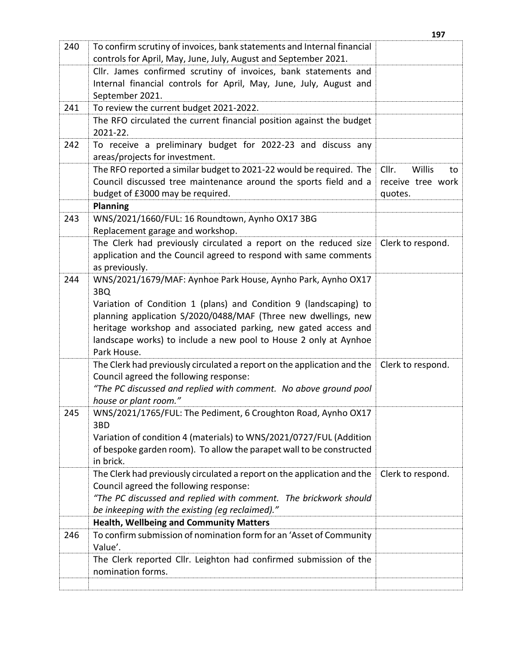|     |                                                                                                                                                                                                                                                                                                                                                                 | 197                                                   |
|-----|-----------------------------------------------------------------------------------------------------------------------------------------------------------------------------------------------------------------------------------------------------------------------------------------------------------------------------------------------------------------|-------------------------------------------------------|
| 240 | To confirm scrutiny of invoices, bank statements and Internal financial<br>controls for April, May, June, July, August and September 2021.                                                                                                                                                                                                                      |                                                       |
|     | Cllr. James confirmed scrutiny of invoices, bank statements and<br>Internal financial controls for April, May, June, July, August and<br>September 2021.                                                                                                                                                                                                        |                                                       |
| 241 | To review the current budget 2021-2022.                                                                                                                                                                                                                                                                                                                         |                                                       |
|     | The RFO circulated the current financial position against the budget<br>2021-22.                                                                                                                                                                                                                                                                                |                                                       |
| 242 | To receive a preliminary budget for 2022-23 and discuss any<br>areas/projects for investment.                                                                                                                                                                                                                                                                   |                                                       |
|     | The RFO reported a similar budget to 2021-22 would be required. The<br>Council discussed tree maintenance around the sports field and a<br>budget of £3000 may be required.                                                                                                                                                                                     | Cllr.<br>Willis<br>to<br>receive tree work<br>quotes. |
|     | <b>Planning</b>                                                                                                                                                                                                                                                                                                                                                 |                                                       |
| 243 | WNS/2021/1660/FUL: 16 Roundtown, Aynho OX17 3BG<br>Replacement garage and workshop.                                                                                                                                                                                                                                                                             |                                                       |
|     | The Clerk had previously circulated a report on the reduced size<br>application and the Council agreed to respond with same comments<br>as previously.                                                                                                                                                                                                          | Clerk to respond.                                     |
| 244 | WNS/2021/1679/MAF: Aynhoe Park House, Aynho Park, Aynho OX17<br>3BQ<br>Variation of Condition 1 (plans) and Condition 9 (landscaping) to<br>planning application S/2020/0488/MAF (Three new dwellings, new<br>heritage workshop and associated parking, new gated access and<br>landscape works) to include a new pool to House 2 only at Aynhoe<br>Park House. |                                                       |
|     | The Clerk had previously circulated a report on the application and the<br>Council agreed the following response:<br>"The PC discussed and replied with comment. No above ground pool<br>house or plant room."                                                                                                                                                  | Clerk to respond.                                     |
| 245 | WNS/2021/1765/FUL: The Pediment, 6 Croughton Road, Aynho OX17<br>3BD<br>Variation of condition 4 (materials) to WNS/2021/0727/FUL (Addition<br>of bespoke garden room). To allow the parapet wall to be constructed<br>in brick.                                                                                                                                |                                                       |
|     | The Clerk had previously circulated a report on the application and the<br>Council agreed the following response:<br>"The PC discussed and replied with comment. The brickwork should<br>be inkeeping with the existing (eg reclaimed)."                                                                                                                        | Clerk to respond.                                     |
|     | <b>Health, Wellbeing and Community Matters</b>                                                                                                                                                                                                                                                                                                                  |                                                       |
| 246 | To confirm submission of nomination form for an 'Asset of Community<br>Value'.                                                                                                                                                                                                                                                                                  |                                                       |
|     | The Clerk reported Cllr. Leighton had confirmed submission of the<br>nomination forms.                                                                                                                                                                                                                                                                          |                                                       |
|     |                                                                                                                                                                                                                                                                                                                                                                 |                                                       |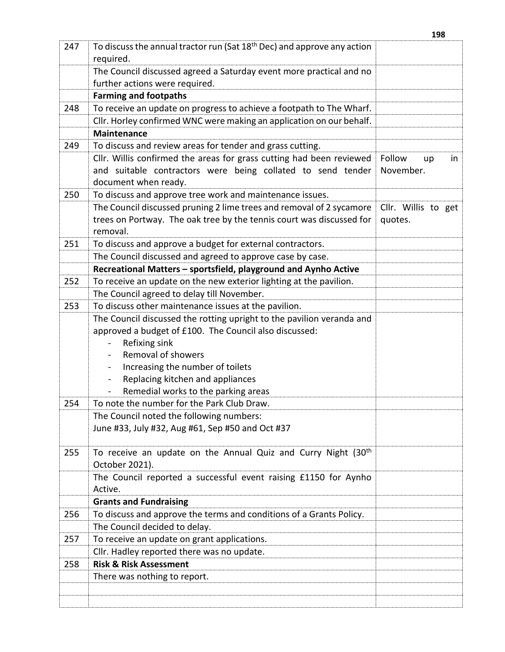| 247 | To discuss the annual tractor run (Sat 18 <sup>th</sup> Dec) and approve any action |                     |
|-----|-------------------------------------------------------------------------------------|---------------------|
|     | required.                                                                           |                     |
|     | The Council discussed agreed a Saturday event more practical and no                 |                     |
|     | further actions were required.                                                      |                     |
|     | <b>Farming and footpaths</b>                                                        |                     |
| 248 | To receive an update on progress to achieve a footpath to The Wharf.                |                     |
|     | Cllr. Horley confirmed WNC were making an application on our behalf.                |                     |
|     | <b>Maintenance</b>                                                                  |                     |
| 249 | To discuss and review areas for tender and grass cutting.                           |                     |
|     | Cllr. Willis confirmed the areas for grass cutting had been reviewed                | Follow<br>up<br>in  |
|     | and suitable contractors were being collated to send tender                         | November.           |
|     | document when ready.                                                                |                     |
| 250 | To discuss and approve tree work and maintenance issues.                            |                     |
|     | The Council discussed pruning 2 lime trees and removal of 2 sycamore                | Cllr. Willis to get |
|     | trees on Portway. The oak tree by the tennis court was discussed for                | quotes.             |
|     | removal.                                                                            |                     |
| 251 | To discuss and approve a budget for external contractors.                           |                     |
|     | The Council discussed and agreed to approve case by case.                           |                     |
|     | Recreational Matters - sportsfield, playground and Aynho Active                     |                     |
| 252 | To receive an update on the new exterior lighting at the pavilion.                  |                     |
|     | The Council agreed to delay till November.                                          |                     |
| 253 | To discuss other maintenance issues at the pavilion.                                |                     |
|     | The Council discussed the rotting upright to the pavilion veranda and               |                     |
|     | approved a budget of £100. The Council also discussed:                              |                     |
|     | Refixing sink                                                                       |                     |
|     | Removal of showers                                                                  |                     |
|     | Increasing the number of toilets<br>$\blacksquare$                                  |                     |
|     | Replacing kitchen and appliances                                                    |                     |
|     | Remedial works to the parking areas                                                 |                     |
| 254 | To note the number for the Park Club Draw.                                          |                     |
|     | The Council noted the following numbers:                                            |                     |
|     | June #33, July #32, Aug #61, Sep #50 and Oct #37                                    |                     |
|     |                                                                                     |                     |
| 255 | To receive an update on the Annual Quiz and Curry Night (30 <sup>th</sup>           |                     |
|     | October 2021).                                                                      |                     |
|     | The Council reported a successful event raising £1150 for Aynho                     |                     |
|     | Active.                                                                             |                     |
|     | <b>Grants and Fundraising</b>                                                       |                     |
| 256 | To discuss and approve the terms and conditions of a Grants Policy.                 |                     |
|     | The Council decided to delay.                                                       |                     |
| 257 | To receive an update on grant applications.                                         |                     |
|     | Cllr. Hadley reported there was no update.                                          |                     |
| 258 | <b>Risk &amp; Risk Assessment</b>                                                   |                     |
|     | There was nothing to report.                                                        |                     |
|     |                                                                                     |                     |
|     |                                                                                     |                     |